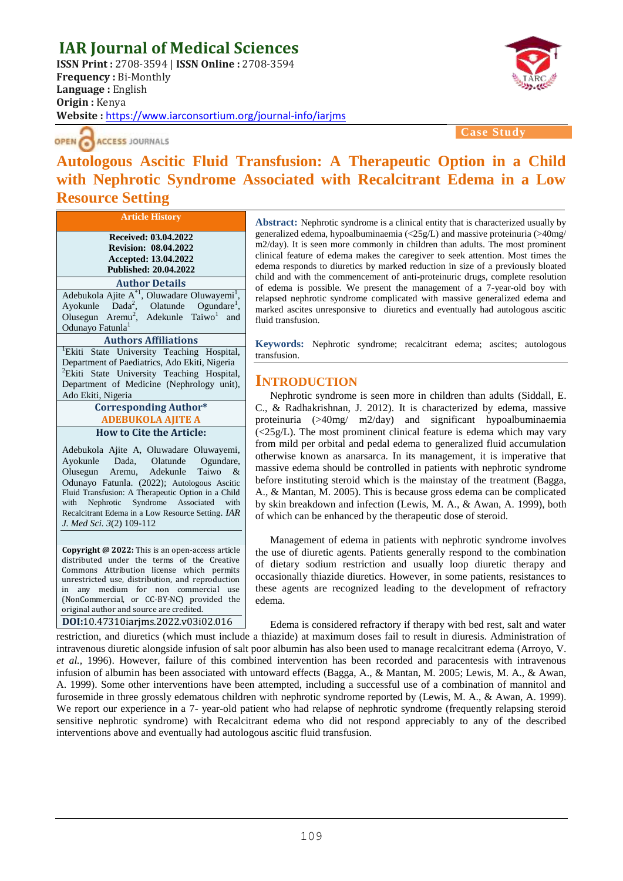# **IAR Journal of Medical Sciences**

**ISSN Print :** 2708-3594 | **ISSN Online :** 2708-3594 **Frequency :** Bi-Monthly **Language :** English **Origin :** Kenya **Website :** <https://www.iarconsortium.org/journal-info/iarjms>



OPEN ACCESS JOURNALS

**Case Study**

## **Autologous Ascitic Fluid Transfusion: A Therapeutic Option in a Child with Nephrotic Syndrome Associated with Recalcitrant Edema in a Low Resource Setting**

**Received: 03.04.2022 Revision: 08.04.2022 Accepted: 13.04.2022 Published: 20.04.2022**

**Article History**

**Author Details** Adebukola Ajite  $A^*$ <sup>1</sup>, Oluwadare Oluwayemi<sup>1</sup>, Ayokunle Dada<sup>2</sup>, , Olatunde Ogundare<sup>1</sup>, Olusegun Aremu<sup>2</sup>, Adekunle Taiwo<sup>1</sup> and Odunayo Fatunla<sup>1</sup>

#### **Authors Affiliations**

<sup>1</sup>Ekiti State University Teaching Hospital, Department of Paediatrics, Ado Ekiti, Nigeria <sup>2</sup>Ekiti State University Teaching Hospital, Department of Medicine (Nephrology unit), Ado Ekiti, Nigeria

#### **Corresponding Author\* ADEBUKOLA AJITE A How to Cite the Article:**

Adebukola Ajite A, Oluwadare Oluwayemi, Ayokunle Dada, Olatunde Ogundare, Olusegun Aremu, Adekunle Taiwo & Odunayo Fatunla. (2022); Autologous Ascitic Fluid Transfusion: A Therapeutic Option in a Child with Nephrotic Syndrome Associated with Recalcitrant Edema in a Low Resource Setting. *IAR J. Med Sci. 3*(2) 109-112

**Copyright @ 2022:** This is an open-access article distributed under the terms of the Creative Commons Attribution license which permits unrestricted use, distribution, and reproduction in any medium for non commercial use (NonCommercial, or CC-BY-NC) provided the original author and source are credited.

**DOI:**10.47310iarjms.2022.v03i02.016

**Abstract:** Nephrotic syndrome is a clinical entity that is characterized usually by generalized edema, hypoalbuminaemia (<25g/L) and massive proteinuria (>40mg/ m2/day). It is seen more commonly in children than adults. The most prominent clinical feature of edema makes the caregiver to seek attention. Most times the edema responds to diuretics by marked reduction in size of a previously bloated child and with the commencement of anti-proteinuric drugs, complete resolution of edema is possible. We present the management of a 7-year-old boy with relapsed nephrotic syndrome complicated with massive generalized edema and marked ascites unresponsive to diuretics and eventually had autologous ascitic fluid transfusion.

**Keywords:** Nephrotic syndrome; recalcitrant edema; ascites; autologous transfusion.

## **INTRODUCTION**

Nephrotic syndrome is seen more in children than adults (Siddall, E. C., & Radhakrishnan, J. 2012). It is characterized by edema, massive proteinuria (>40mg/ m2/day) and significant hypoalbuminaemia  $\langle \langle 25g/L \rangle$ . The most prominent clinical feature is edema which may vary from mild per orbital and pedal edema to generalized fluid accumulation otherwise known as anarsarca. In its management, it is imperative that massive edema should be controlled in patients with nephrotic syndrome before instituting steroid which is the mainstay of the treatment (Bagga, A., & Mantan, M. 2005). This is because gross edema can be complicated by skin breakdown and infection (Lewis, M. A., & Awan, A. 1999), both of which can be enhanced by the therapeutic dose of steroid.

Management of edema in patients with nephrotic syndrome involves the use of diuretic agents. Patients generally respond to the combination of dietary sodium restriction and usually loop diuretic therapy and occasionally thiazide diuretics. However, in some patients, resistances to these agents are recognized leading to the development of refractory edema.

Edema is considered refractory if therapy with bed rest, salt and water restriction, and diuretics (which must include a thiazide) at maximum doses fail to result in diuresis. Administration of intravenous diuretic alongside infusion of salt poor albumin has also been used to manage recalcitrant edema (Arroyo, V. *et al.,* 1996). However, failure of this combined intervention has been recorded and paracentesis with intravenous infusion of albumin has been associated with untoward effects (Bagga, A., & Mantan, M. 2005; Lewis, M. A., & Awan, A. 1999). Some other interventions have been attempted, including a successful use of a combination of mannitol and furosemide in three grossly edematous children with nephrotic syndrome reported by (Lewis, M. A., & Awan, A. 1999). We report our experience in a 7- year-old patient who had relapse of nephrotic syndrome (frequently relapsing steroid sensitive nephrotic syndrome) with Recalcitrant edema who did not respond appreciably to any of the described interventions above and eventually had autologous ascitic fluid transfusion.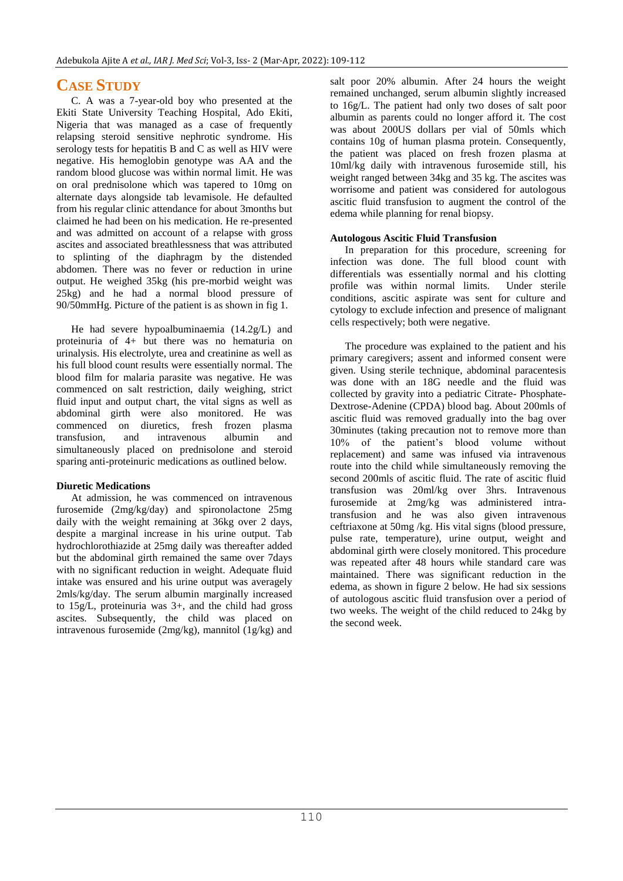## **CASE STUDY**

C. A was a 7-year-old boy who presented at the Ekiti State University Teaching Hospital, Ado Ekiti, Nigeria that was managed as a case of frequently relapsing steroid sensitive nephrotic syndrome. His serology tests for hepatitis B and C as well as HIV were negative. His hemoglobin genotype was AA and the random blood glucose was within normal limit. He was on oral prednisolone which was tapered to 10mg on alternate days alongside tab levamisole. He defaulted from his regular clinic attendance for about 3months but claimed he had been on his medication. He re-presented and was admitted on account of a relapse with gross ascites and associated breathlessness that was attributed to splinting of the diaphragm by the distended abdomen. There was no fever or reduction in urine output. He weighed 35kg (his pre-morbid weight was 25kg) and he had a normal blood pressure of 90/50mmHg. Picture of the patient is as shown in fig 1.

He had severe hypoalbuminaemia (14.2g/L) and proteinuria of 4+ but there was no hematuria on urinalysis. His electrolyte, urea and creatinine as well as his full blood count results were essentially normal. The blood film for malaria parasite was negative. He was commenced on salt restriction, daily weighing, strict fluid input and output chart, the vital signs as well as abdominal girth were also monitored. He was commenced on diuretics, fresh frozen plasma transfusion, and intravenous albumin and simultaneously placed on prednisolone and steroid sparing anti-proteinuric medications as outlined below.

## **Diuretic Medications**

At admission, he was commenced on intravenous furosemide (2mg/kg/day) and spironolactone 25mg daily with the weight remaining at 36kg over 2 days, despite a marginal increase in his urine output. Tab hydrochlorothiazide at 25mg daily was thereafter added but the abdominal girth remained the same over 7days with no significant reduction in weight. Adequate fluid intake was ensured and his urine output was averagely 2mls/kg/day. The serum albumin marginally increased to 15g/L, proteinuria was 3+, and the child had gross ascites. Subsequently, the child was placed on intravenous furosemide (2mg/kg), mannitol (1g/kg) and salt poor 20% albumin. After 24 hours the weight remained unchanged, serum albumin slightly increased to 16g/L. The patient had only two doses of salt poor albumin as parents could no longer afford it. The cost was about 200US dollars per vial of 50mls which contains 10g of human plasma protein. Consequently, the patient was placed on fresh frozen plasma at 10ml/kg daily with intravenous furosemide still, his weight ranged between 34kg and 35 kg. The ascites was worrisome and patient was considered for autologous ascitic fluid transfusion to augment the control of the edema while planning for renal biopsy.

### **Autologous Ascitic Fluid Transfusion**

In preparation for this procedure, screening for infection was done. The full blood count with differentials was essentially normal and his clotting profile was within normal limits. Under sterile conditions, ascitic aspirate was sent for culture and cytology to exclude infection and presence of malignant cells respectively; both were negative.

The procedure was explained to the patient and his primary caregivers; assent and informed consent were given. Using sterile technique, abdominal paracentesis was done with an 18G needle and the fluid was collected by gravity into a pediatric Citrate- Phosphate-Dextrose-Adenine (CPDA) blood bag. About 200mls of ascitic fluid was removed gradually into the bag over 30minutes (taking precaution not to remove more than 10% of the patient's blood volume without replacement) and same was infused via intravenous route into the child while simultaneously removing the second 200mls of ascitic fluid. The rate of ascitic fluid transfusion was 20ml/kg over 3hrs. Intravenous furosemide at 2mg/kg was administered intratransfusion and he was also given intravenous ceftriaxone at 50mg /kg. His vital signs (blood pressure, pulse rate, temperature), urine output, weight and abdominal girth were closely monitored. This procedure was repeated after 48 hours while standard care was maintained. There was significant reduction in the edema, as shown in figure 2 below. He had six sessions of autologous ascitic fluid transfusion over a period of two weeks. The weight of the child reduced to 24kg by the second week.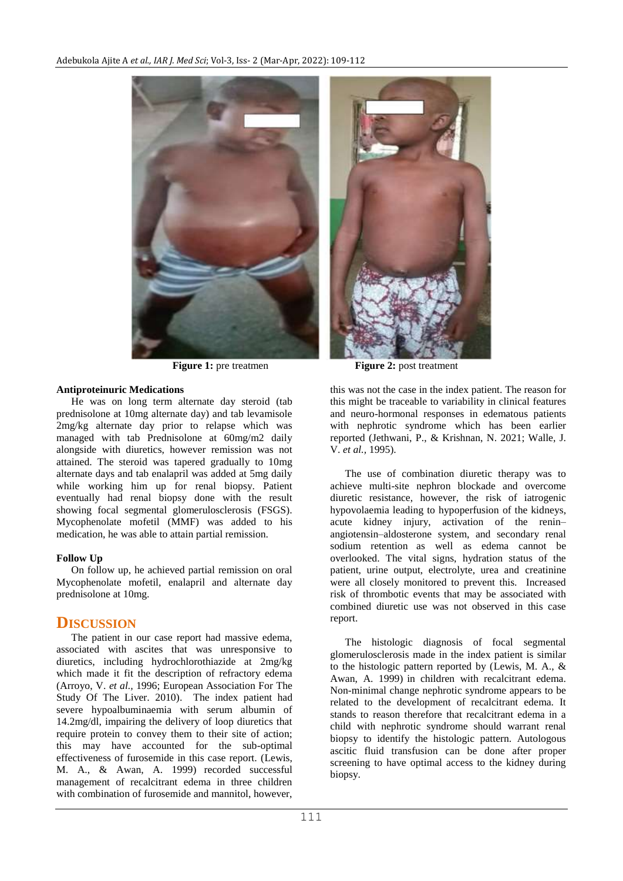

#### **Antiproteinuric Medications**

He was on long term alternate day steroid (tab prednisolone at 10mg alternate day) and tab levamisole 2mg/kg alternate day prior to relapse which was managed with tab Prednisolone at 60mg/m2 daily alongside with diuretics, however remission was not attained. The steroid was tapered gradually to 10mg alternate days and tab enalapril was added at 5mg daily while working him up for renal biopsy. Patient eventually had renal biopsy done with the result showing focal segmental glomerulosclerosis (FSGS). Mycophenolate mofetil (MMF) was added to his medication, he was able to attain partial remission.

#### **Follow Up**

On follow up, he achieved partial remission on oral Mycophenolate mofetil, enalapril and alternate day prednisolone at 10mg.

## **DISCUSSION**

The patient in our case report had massive edema, associated with ascites that was unresponsive to diuretics, including hydrochlorothiazide at 2mg/kg which made it fit the description of refractory edema (Arroyo, V. *et al.,* 1996; European Association For The Study Of The Liver. 2010). The index patient had severe hypoalbuminaemia with serum albumin of 14.2mg/dl, impairing the delivery of loop diuretics that require protein to convey them to their site of action; this may have accounted for the sub-optimal effectiveness of furosemide in this case report. (Lewis, M. A., & Awan, A. 1999) recorded successful management of recalcitrant edema in three children with combination of furosemide and mannitol, however,

**Figure 1:** pre treatmen **Figure 2:** post treatment this was not the case in the index patient. The reason for

this might be traceable to variability in clinical features and neuro-hormonal responses in edematous patients with nephrotic syndrome which has been earlier reported (Jethwani, P., & Krishnan, N. 2021; Walle, J. V. *et al.,* 1995).

The use of combination diuretic therapy was to achieve multi-site nephron blockade and overcome diuretic resistance, however, the risk of iatrogenic hypovolaemia leading to hypoperfusion of the kidneys, acute kidney injury, activation of the renin– angiotensin–aldosterone system, and secondary renal sodium retention as well as edema cannot be overlooked. The vital signs, hydration status of the patient, urine output, electrolyte, urea and creatinine were all closely monitored to prevent this. Increased risk of thrombotic events that may be associated with combined diuretic use was not observed in this case report.

The histologic diagnosis of focal segmental glomerulosclerosis made in the index patient is similar to the histologic pattern reported by (Lewis, M. A., & Awan, A. 1999) in children with recalcitrant edema. Non-minimal change nephrotic syndrome appears to be related to the development of recalcitrant edema. It stands to reason therefore that recalcitrant edema in a child with nephrotic syndrome should warrant renal biopsy to identify the histologic pattern. Autologous ascitic fluid transfusion can be done after proper screening to have optimal access to the kidney during biopsy.